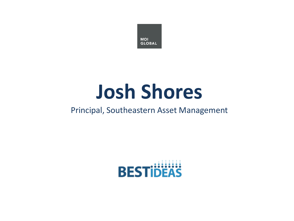

# **Josh Shores**

#### Principal, Southeastern Asset Management

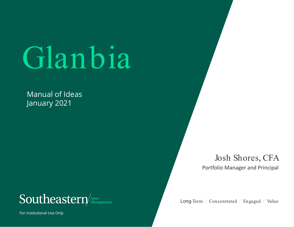# Glanbia

Manual of Ideas January 2021



For Institutional Use Only

Josh Shores, CFA Portfolio Manager and Principal

Long-Term / Concentrated / Engaged / Value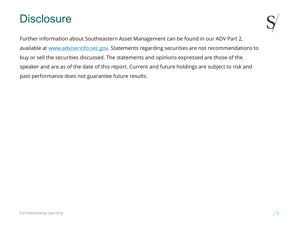## **Disclosure**

Further information about Southeastern Asset Management can be found in our ADV Part 2, available at [www.adviserinfo.sec.gov.](http://www.adviserinfo.sec.gov/) Statements regarding securities are not recommendations to buy or sell the securities discussed. The statements and opinions expressed are those of the speaker and are as of the date of this report. Current and future holdings are subject to risk and past performance does not guarantee future results.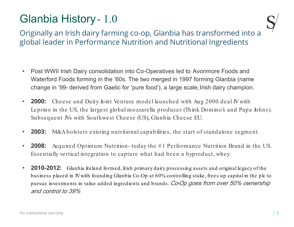## Glanbia History - 1.0



Originally an Irish dairy farming co-op, Glanbia has transformed into a global leader in Performance Nutrition and Nutritional Ingredients

- Post WWII Irish Dairy consolidation into Co-Operatives led to Avonmore Foods and Waterford Foods forming in the '60s. The two merged in 1997 forming Glanbia (name change in '99- derived from Gaelic for 'pure food'), a large scale, Irish dairy champion.
- **2000:** Cheese and Dairy Joint Venture model launched with Aug 2000 deal JV with Leprino in the US, the largest global mozzarella producer (Think Domino's and Papa Johns). Subsequent JVs with Southwest Cheese (US), Glanbia Cheese EU.
- **2003:** M&A bolsters existing nutritional capabilities, the start of standalone segment.
- **2008:** Acquired Optimum Nutrition- today the # 1 Performance Nutrition Brand in the US. Essentially vertical integration to capture what had been a byproduct, whey.
- **2010-2012:** Glanbia Ireland formed, Irish primary dairy processing assets and original legacy of the business placed in JV with founding Glanbia Co-Op at 60% controlling stake, frees up capital in the plc to pursue investments in value added ingredients and brands. Co-Op goes from over 50% ownership and control to 39%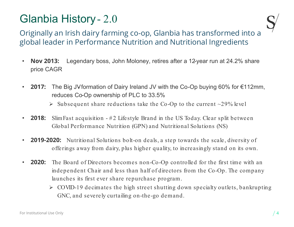## Glanbia History - 2.0



Originally an Irish dairy farming co-op, Glanbia has transformed into a global leader in Performance Nutrition and Nutritional Ingredients

- **Nov 2013:** Legendary boss, John Moloney, retires after a 12-year run at 24.2% share price CAGR
- **2017:** The Big JV formation of Dairy Ireland JV with the Co-Op buying 60% for €112mm, reduces Co-Op ownership of PLC to 33.5%
	- $\triangleright$  Subsequent share reductions take the Co-Op to the current  $\sim$ 29% level
- **2018:** Slim Fast acquisition #2 Lifestyle Brand in the US Today. Clear split between Global Performance Nutrition (GPN) and Nutritional Solutions (NS)
- **2019-2020:** Nutritional Solutions bolt-on deals, a step towards the scale, diversity of offerings away from dairy, plus higher quality, to increasingly stand on its own.
- **2020:** The Board of Directors becomes non-Co-Op controlled for the first time with an independent Chair and less than half of directors from the Co-Op. The company launches its first ever share repurchase program.
	- $\triangleright$  COVID-19 decimates the high street shutting down specialty outlets, bankrupting GNC, and severely curtailing on-the-go demand.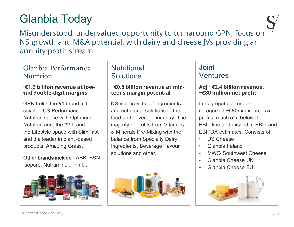## Glanbia Today

Misunderstood, undervalued opportunity to turnaround GPN, focus on NS growth and M&A potential, with dairy and cheese JVs providing an annuity profit stream

#### Glanbia Performance Nutrition

#### **~€1.2 billion revenue at lowmid double-digit margins**

GPN holds the #1 brand in the coveted US Performance Nutrition space with Optimum Nutrition and, the #2 brand in the Lifestyle space with SlimFast, and the leader in plant -based products, Amazing Grass.

Other brands include : ABB, BSN, Isopure, Nutramino , Think!.



#### **Nutritional Solutions**

#### **~€0.8 billion revenue at midteens margin potential**

NS is a provider of ingredients and nutritional solutions to the food and beverage industry. The majority of profits from Vitamins & Minerals Pre-Mixing with the balance from Specialty Dairy Ingredients, Beverage Flavour solutions and other.



#### Joint Ventures

#### **Adj ~€2.4 billion revenue, ~€80 million net profit**

In aggregate an underrecognized ~€80mm in pre -tax profits, much of it below the EBIT line and missed in EBIT and EBITDA estimates. Consists of:

- US Cheese
- Glanbia Ireland
- MWC- Southwest Cheese
- Glanbia Cheese UK
- Glanbia Cheese EU

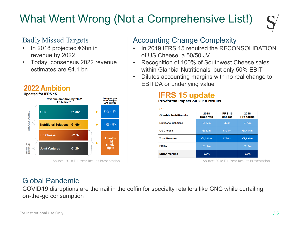## What Went Wrong (Not a Comprehensive List!)

#### Badly Missed Targets

- In 2018 projected €6bn in revenue by 2022
- Today, consensus 2022 revenue estimates are €4.1 bn



#### **2022 Ambition**

#### Accounting Change Complexity

- In 2019 IFRS 15 required the RECONSOLIDATION of US Cheese, a 50/50 JV
- Recognition of 100% of Southwest Cheese sales within Glanbia Nutritionals but only 50% EBIT
- Dilutes accounting margins with no real change to EBITDA or underlying value

#### **IFRS 15 update**

Pro-forma impact on 2018 results

| €'m                          |                         |                          |                   |  |  |  |  |
|------------------------------|-------------------------|--------------------------|-------------------|--|--|--|--|
| <b>Glanbia Nutritionals</b>  | 2018<br><b>Reported</b> | <b>IFRS 15</b><br>impact | 2018<br>Pro-forma |  |  |  |  |
| <b>Nutritional Solutions</b> | €527m                   | €50 $m$                  | €577m             |  |  |  |  |
| <b>US Cheese</b>             | €680m                   | €734m                    | €1,414m           |  |  |  |  |
| <b>Total Revenue</b>         | €1,207m                 | €784m                    | €1,991m           |  |  |  |  |
| <b>EBITA</b>                 | €112m                   |                          | €112m             |  |  |  |  |
| <b>EBITA margins</b>         | 9.3%                    |                          | 5.6%              |  |  |  |  |

#### Global Pandemic

COVID-19 disruptions are the nail in the coffin for specialty retailers like GNC while curtailing on-the-go consumption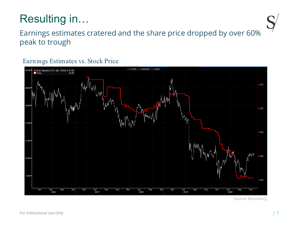## Resulting in…



## Earnings estimates cratered and the share price dropped by over 60% peak to trough

#### Earnings Estimates vs. Stock Price



Source: Bloomberg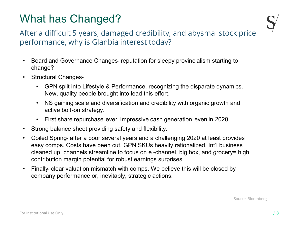## What has Changed?



After a difficult 5 years, damaged credibility, and abysmal stock price performance, why is Glanbia interest today?

- Board and Governance Changes- reputation for sleepy provincialism starting to change?
- Structural Changes-
	- GPN split into Lifestyle & Performance, recognizing the disparate dynamics. New, quality people brought into lead this effort.
	- NS gaining scale and diversification and credibility with organic growth and active bolt-on strategy.
	- First share repurchase ever. Impressive cash generation even in 2020.
- Strong balance sheet providing safety and flexibility.
- Coiled Spring- after a poor several years and a challenging 2020 at least provides easy comps. Costs have been cut, GPN SKUs heavily rationalized, Int'l business cleaned up, channels streamline to focus on e -channel, big box, and grocery= high contribution margin potential for robust earnings surprises.
- Finally- clear valuation mismatch with comps. We believe this will be closed by company performance or, inevitably, strategic actions.

Source: Bloomberg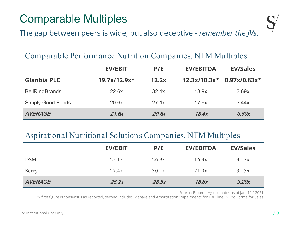## Comparable Multiples



The gap between peers is wide, but also deceptive *- remember the JVs.*

#### Comparable Performance Nutrition Companies, NTM Multiples

|                          | <b>EV/EBIT</b> | P/E   | <b>EV/EBITDA</b> | <b>EV/Sales</b>                            |
|--------------------------|----------------|-------|------------------|--------------------------------------------|
| <b>Glanbia PLC</b>       | $19.7x/12.9x*$ | 12.2x |                  | $12.3x/10.3x^{*}$ 0.97x/0.83x <sup>*</sup> |
| <b>BellRingBrands</b>    | 22.6x          | 32.1x | 18.9x            | 3.69x                                      |
| <b>Simply Good Foods</b> | 20.6x          | 27.1x | 17.9x            | 3.44x                                      |
| <b>AVERAGE</b>           | 21.6x          | 29.6x | 18.4x            | 3.60x                                      |

## Aspirational Nutritional Solutions Companies, NTM Multiples

|                | <b>EV/EBIT</b> | P/E   | <b>EV/EBITDA</b> | <b>EV/Sales</b> |
|----------------|----------------|-------|------------------|-----------------|
| <b>DSM</b>     | 25.1x          | 26.9x | 16.3x            | 3.17x           |
| Kerry          | 27.4x          | 30.1x | 21.0x            | 3.15x           |
| <b>AVERAGE</b> | 26.2x          | 28.5x | 18.6x            | 3.20x           |

Source: Bloomberg estimates as of Jan. 12th 2021

\*- first figure is consensus as reported, second includes JV share and Amortization/Impairments for EBIT line, JV Pro Forma for Sales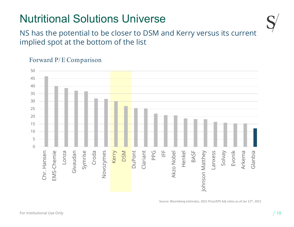## Nutritional Solutions Universe



NS has the potential to be closer to DSM and Kerry versus its current implied spot at the bottom of the list

#### 50 45 40 35 30 25 20 15 10 5 0 DuPont Clariant Symrise Arkema Glanbia Lonza Croda Kerry DSM PPG  $\overset{\sqcup}{\equiv}$ Henkel BASF Solvay Evonik Novozymes chr. Hansen EMS-Chemie nebuevia Novozymes Akzo Nobel Johnson Matthey Johnson Matthey Lanxess Chr. Hansen EMS-Chemie Givaudan Akzo Nobel

Forward P/E Comparison

Source: Bloomberg estimates, 2021 Price/EPS Adj ratios as of Jan 12th, 2021